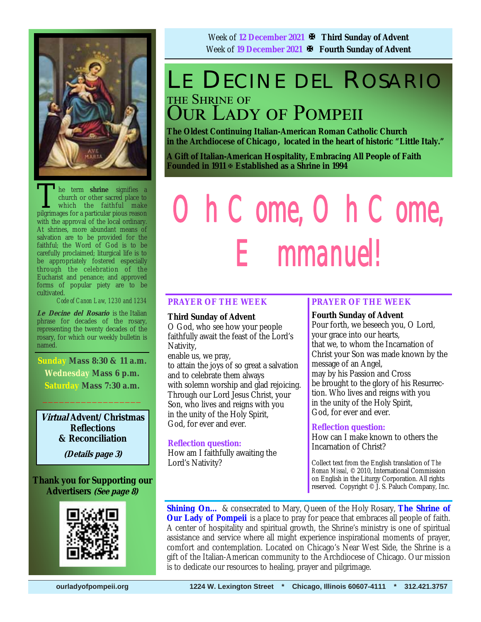

The term **shrine** signifies a church or other sacred place to which the faithful make pilerimages for a particular pious reason church or other sacred place to which the faithful make pilgrimages for a particular pious reason with the approval of the local ordinary. At shrines, more abundant means of salvation are to be provided for the faithful; the Word of God is to be carefully proclaimed; liturgical life is to be appropriately fostered especially through the celebration of the Eucharist and penance; and approved forms of popular piety are to be cultivated.

*Code of Canon Law, 1230 and 1234* 

**Le Decine del Rosario** is the Italian phrase for decades of the rosary, representing the twenty decades of the rosary, for which our weekly bulletin is named.

**Sunday Mass 8:30 & 11 a.m. Wednesday Mass 6 p.m. Saturday Mass 7:30 a.m.** 

**Virtual Advent/Christmas Reflections & Reconciliation** 

 $\frac{1}{2}$  ,  $\frac{1}{2}$  ,  $\frac{1}{2}$  ,  $\frac{1}{2}$  ,  $\frac{1}{2}$  ,  $\frac{1}{2}$  ,  $\frac{1}{2}$ 

**(Details page 3)**

### **Thank you for Supporting our Advertisers (See page 8)**



Week of **12 December 2021 Third Sunday of Advent** Week of **19 December 2021 Fourth Sunday of Advent**

### LE DECINE DEL ROSARIO THE SHRINE OF **OUR LADY OF POMPEII**

**The Oldest Continuing Italian-American Roman Catholic Church in the Archdiocese of Chicago , located in the heart of historic "Little Italy."** 

**A Gift of Italian-American Hospitality, Embracing All People of Faith Founded in 1911 Established as a Shrine in 1994**

# *Oh Come, Oh Come, Emmanuel!*

### **PRAYER OF THE WEEK**

#### **Third Sunday of Advent**

O God, who see how your people faithfully await the feast of the Lord's Nativity,

enable us, we pray, to attain the joys of so great a salvation and to celebrate them always with solemn worship and glad rejoicing. Through our Lord Jesus Christ, your Son, who lives and reigns with you in the unity of the Holy Spirit,

### **Reflection question:**

God, for ever and ever.

How am I faithfully awaiting the Lord's Nativity?

### **PRAYER OF THE WEEK**

### **Fourth Sunday of Advent**

Pour forth, we beseech you, O Lord, your grace into our hearts, that we, to whom the Incarnation of Christ your Son was made known by the message of an Angel, may by his Passion and Cross be brought to the glory of his Resurrection. Who lives and reigns with you in the unity of the Holy Spirit, God, for ever and ever.

#### **Reflection question:**

How can I make known to others the Incarnation of Christ?

Collect text from the English translation of *The Roman Missal*, © 2010, International Commission on English in the Liturgy Corporation. All rights reserved. Copyright © J. S. Paluch Company, Inc.

**Shining On…** & consecrated to Mary, Queen of the Holy Rosary, **The Shrine of Our Lady of Pompeii** is a place to pray for peace that embraces all people of faith. A center of hospitality and spiritual growth, the Shrine's ministry is one of spiritual assistance and service where all might experience inspirational moments of prayer, comfort and contemplation. Located on Chicago's Near West Side, the Shrine is a gift of the Italian-American community to the Archdiocese of Chicago. Our mission is to dedicate our resources to healing, prayer and pilgrimage.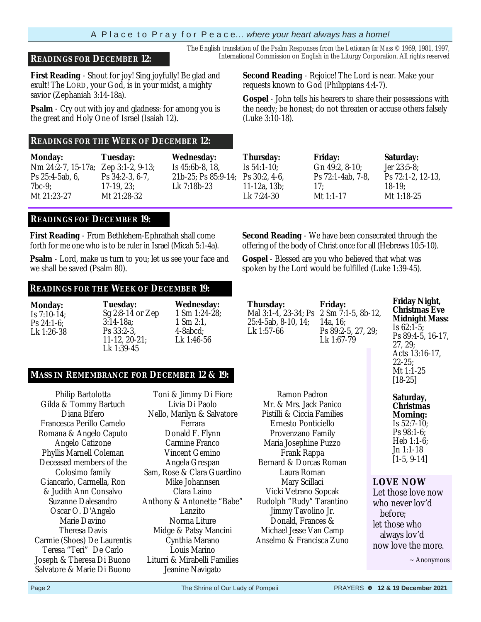### A P l a c e t o P r a y f o r P e a c e… *where your heart always has a home!*

**First Reading** - Shout for joy! Sing joyfully! Be glad and exult! The LORD, your God, is in your midst, a mighty savior (Zephaniah 3:14-18a).

**Psalm** - Cry out with joy and gladness: for among you is the great and Holy One of Israel (Isaiah 12).

### **READINGS FOR THE WEEK OF DECEMBER 12:**

| <b>Monday:</b>                      | Tuesday:           | <b>Wednesday:</b>  |
|-------------------------------------|--------------------|--------------------|
| Nm 24:2-7, 15-17a; Zep 3:1-2, 9-13; |                    | Is 45:6b-8, 18,    |
| $Ps$ 25:4-5ab, 6,                   | Ps $34:2-3, 6-7$ , | 21b-25; Ps 85:9-14 |
| $7bc-9$                             | $17-19, 23$ ;      | Lk 7:18b-23        |
| Mt 21:23-27                         | Mt 21:28-32        |                    |

**READINGS FOF DECEMBER 19:**

**First Reading** - From Bethlehem-Ephrathah shall come forth for me one who is to be ruler in Israel (Micah 5:1-4a).

**Psalm** - Lord, make us turn to you; let us see your face and we shall be saved (Psalm 80).

#### **READINGS FOR THE WEEK OF DECEMBER 19:**

| <b>Monday:</b> | <b>Tuesday:</b>     | <b>Wednesday:</b>         |
|----------------|---------------------|---------------------------|
| Is $7:10-14$ : | Sg 2:8-14 or Zep    | $1 \text{ Sm } 1:24-28$ ; |
| $Ps 24:1-6$    | $3:14-18a$ ;        | $1 \,\mathrm{Sm}\,2:1$ .  |
| Lk 1:26-38     | $Ps 33:2-3.$        | $4 - 8abcd$ :             |
|                | $11-12$ , $20-21$ ; | Lk 1:46-56                |
|                | Lk 1:39-45          |                           |

#### **MASS IN REMEMBRANCE FOR DECEMBER 12 & 19:**

Philip Bartolotta Gilda & Tommy Bartuch Diana Bifero Francesca Perillo Camelo Romana & Angelo Caputo Angelo Catizone Phyllis Marnell Coleman Deceased members of the Colosimo family Giancarlo, Carmella, Ron & Judith Ann Consalvo Suzanne Dalesandro Oscar O. D'Angelo Marie Davino Theresa Davis Carmie (Shoes) De Laurentis Teresa "Teri" De Carlo Joseph & Theresa Di Buono Salvatore & Marie Di Buono

Toni & Jimmy Di Fiore Livia Di Paolo Nello, Marilyn & Salvatore Ferrara Donald F. Flynn Carmine Franco Vincent Gemino Angela Grespan Sam, Rose & Clara Guardino Mike Johannsen Clara Laino Anthony & Antonette "Babe" Lanzito Norma Liture Midge & Patsy Mancini Cynthia Marano Louis Marino Liturri & Mirabelli Families Jeanine Navigato

25:4-5ab, 8-10, 14; Lk 1:57-66

**Thursday:** 

Ramon Padron Mr. & Mrs. Jack Panico Pistilli & Ciccia Families Ernesto Ponticiello Provenzano Family Maria Josephine Puzzo Frank Rappa Bernard & Dorcas Roman Laura Roman Mary Scillaci Vicki Vetrano Sopcak

Jimmy Tavolino Jr. Donald, Frances & Michael Jesse Van Camp

Mal 3:1-4, 23-34; Ps 2 Sm 7:1-5, 8b-12, **Friday:**  14a, 16; Ps 89:2-5, 27, 29; Lk 1:67-79

**Second Reading** - We have been consecrated through the offering of the body of Christ once for all (Hebrews 10:5-10). **Gospel** - Blessed are you who believed that what was spoken by the Lord would be fulfilled (Luke 1:39-45).

> **Friday Night, Christmas Eve Midnight Mass:**  Is 62:1-5; Ps 89:4-5, 16-17, 27, 29; Acts 13:16-17, 22-25; Mt 1:1-25 [18-25]

**Saturday, Christmas Morning:**  Is 52:7-10; Ps 98:1-6; Heb 1:1-6; Jn 1:1-18 [1-5, 9-14]

### **LOVE NOW**

Let those love now who never lov'd before; let those who always lov'd now love the more.

 $\sim$  Anonymous

The English translation of the Psalm Responses from the *Lectionary for Mass* © 1969, 1981, 1997, **READINGS FOR DECEMBER 12:** International Commission on English in the Liturgy Corporation. All rights reserved

> **Second Reading** - Rejoice! The Lord is near. Make your requests known to God (Philippians 4:4-7).

**Gospel** - John tells his hearers to share their possessions with the needy; be honest; do not threaten or accuse others falsely (Luke 3:10-18).

|      | Tuesday:                    | <b>Wednesday:</b>                       | Thursday:    | <b>Friday:</b>       | Saturday:                   |
|------|-----------------------------|-----------------------------------------|--------------|----------------------|-----------------------------|
|      | 15-17a; Zep 3:1-2, $9-13$ ; | Is $45:6b-8, 18$ ,                      | Is 54:1-10:  | Gn $49:2$ , $8-10$ ; | Jer 23:5-8:                 |
| , 6, | Ps $34:2-3, 6-7$ .          | 21b-25; Ps $85:9-14$ ; Ps $30:2$ , 4-6, |              | Ps 72:1-4ab, 7-8,    | $\text{Ps } 72:1-2, 12-13,$ |
|      | $17-19.23$ :                | Lk 7:18b-23                             | 11-12a, 13b; | 17:                  | $18-19:$                    |
|      | Mt 21:28-32                 |                                         | Lk 7:24-30   | Mt 1:1-17            | Mt 1:18-25                  |
|      |                             |                                         |              |                      |                             |

Rudolph "Rudy" Tarantino Anselmo & Francisca Zuno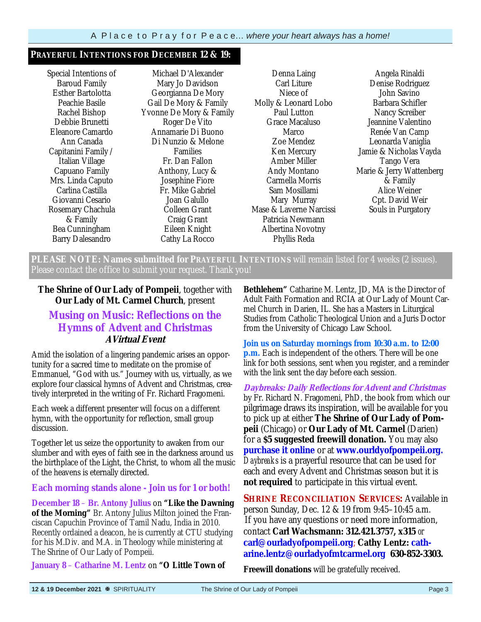### **PRAYERFUL INTENTIONS FOR DECEMBER 12 & 19:**

Special Intentions of Baroud Family Esther Bartolotta Peachie Basile Rachel Bishop Debbie Brunetti Eleanore Camardo Ann Canada Capitanini Family / Italian Village Capuano Family Mrs. Linda Caputo Carlina Castilla Giovanni Cesario Rosemary Chachula & Family Bea Cunningham Barry Dalesandro

Michael D'Alexander Mary Jo Davidson Georgianna De Mory Gail De Mory & Family Yvonne De Mory & Family Roger De Vito Annamarie Di Buono Di Nunzio & Melone Families Fr. Dan Fallon Anthony, Lucy & Josephine Fiore Fr. Mike Gabriel Joan Galullo Colleen Grant Craig Grant Eileen Knight Cathy La Rocco

Denna Laing Carl Liture Niece of Molly & Leonard Lobo Paul Lutton Grace Macaluso Marco Zoe Mendez Ken Mercury Amber Miller Andy Montano Carmella Morris Sam Mosillami Mary Murray Mase & Laverne Narcissi Patricia Newmann Albertina Novotny Phyllis Reda

Angela Rinaldi Denise Rodriguez John Savino Barbara Schifler Nancy Screiber Jeannine Valentino Renée Van Camp Leonarda Vaniglia Jamie & Nicholas Vayda Tango Vera Marie & Jerry Wattenberg & Family Alice Weiner Cpt. David Weir Souls in Purgatory

**PLEASE NOTE: Names submitted for PRAYERFUL INTENTIONS** will remain listed for 4 weeks (2 issues). Please contact the office to submit your request. Thank you!

### **The Shrine of Our Lady of Pompeii**, together with **Our Lady of Mt. Carmel Church**, present

### **Musing on Music: Reflections on the Hymns of Advent and Christmas AVirtual Event**

Amid the isolation of a lingering pandemic arises an opportunity for a sacred time to meditate on the promise of Emmanuel, "God with us." Journey with us, virtually, as we explore four classical hymns of Advent and Christmas, creatively interpreted in the writing of Fr. Richard Fragomeni.

Each week a different presenter will focus on a different hymn, with the opportunity for reflection, small group discussion.

Together let us seize the opportunity to awaken from our slumber and with eyes of faith see in the darkness around us the birthplace of the Light, the Christ, to whom all the music of the heavens is eternally directed.

### **Each morning stands alone - Join us for 1 or both!**

**December 18** – **Br. Antony Julius** on **"Like the Dawning of the Morning"** Br. Antony Julius Milton joined the Franciscan Capuchin Province of Tamil Nadu, India in 2010. Recently ordained a deacon, he is currently at CTU studying for his M.Div. and M.A. in Theology while ministering at The Shrine of Our Lady of Pompeii.

**January 8** – **Catharine M. Lentz** on **"O Little Town of** 

**Bethlehem"** Catharine M. Lentz, JD, MA is the Director of Adult Faith Formation and RCIA at Our Lady of Mount Carmel Church in Darien, IL. She has a Masters in Liturgical Studies from Catholic Theological Union and a Juris Doctor from the University of Chicago Law School.

**Join us on Saturday mornings from 10:30 a.m. to 12:00 p.m.** Each is independent of the others. There will be one link for both sessions, sent when you register, and a reminder with the link sent the day before each session.

**Daybreaks: Daily Reflections for Advent and Christmas** by Fr. Richard N. Fragomeni, PhD, the book from which our pilgrimage draws its inspiration, will be available for you to pick up at either **The Shrine of Our Lady of Pompeii** (Chicago) or **Our Lady of Mt. Carmel** (Darien) for a **\$5 suggested freewill donation.** You may also **purchase it online** or at **www.ourldyofpompeii.org.**  *Daybreaks* is a prayerful resource that can be used for each and every Advent and Christmas season but it is **not required** to participate in this virtual event.

**SHRINE RECONCILIATION SERVICES:** Available in person Sunday, Dec. 12 & 19 from 9:45–10:45 a.m. If you have any questions or need more information, contact **Carl Wachsmann: 312.421.3757, x315** *or* **carl@ourladyofpompeii.org**; **Cathy Lentz: catharine.lentz@ourladyofmtcarmel.org 630-852-3303.** 

**Freewill donations** will be gratefully received.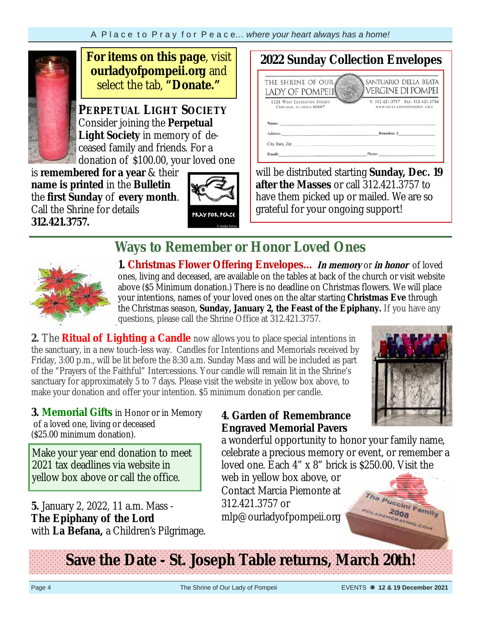

**For items on this page**, visit **ourladyofpompeii.org** and select the tab, **"Donate."**

**PERPETUAL LIGHT SOCIETY** Consider joining the **Perpetual Light Society** in memory of deceased family and friends. For a donation of \$100.00, your loved one

is **remembered for a year** & their **name is printed** in the **Bulletin**  the **first Sunday** of **every month**. Call the Shrine for details **312.421.3757.** 



#### **2022 Sunday Collection Envelopes**  THE SHRINE OF OUR SANTUARIO DELLA BEATA **VERGINE DI POMPEI** LADY OF POMPEII V: 312.421.3757 FAX: 312.421.3756 1224 WEST LEXINGTON STREET

CHICAGO, ILLINOIS 60607 **WWW.OURLADYOFPOMPEIL.ORG** Donation: S Address City, State, Zip: Email

 will be distributed starting **Sunday, Dec. 19 after the Masses** or call 312.421.3757 to have them picked up or mailed. We are so grateful for your ongoing support!

### **Ways to Remember or Honor Loved Ones**



**1. Christmas Flower Offering Envelopes… In memory** or **in honor** of loved ones, living and deceased, are available on the tables at back of the church or visit website above (\$5 Minimum donation.) There is no deadline on Christmas flowers. We will place your intentions, names of your loved ones on the altar starting **Christmas Eve** through the Christmas season, **Sunday, January 2, the Feast of the Epiphany.** If you have any questions, please call the Shrine Office at 312.421.3757.

**2.** The **Ritual of Lighting a Candle** now allows you to place special intentions in the sanctuary, in a new touch-less way. Candles for Intentions and Memorials received by Friday, 3:00 p.m., will be lit before the 8:30 a.m. Sunday Mass and will be included as part of the "Prayers of the Faithful" Intercessions. Your candle will remain lit in the Shrine's sanctuary for approximately 5 to 7 days. Please visit the website in yellow box above, to make your donation and offer your intention. \$5 minimum donation per candle.



**3. Memorial Gifts** in Honor or in Memory of a loved one, living or deceased (\$25.00 minimum donation).

Make your year end donation to meet 2021 tax deadlines via website in yellow box above or call the office.

**5.** January 2, 2022, 11 a.m. Mass - **The Epiphany of the Lord**  with **La Befana,** a Children's Pilgrimage.

### **4. Garden of Remembrance Engraved Memorial Pavers**

a wonderful opportunity to honor your family name, celebrate a precious memory or event, or remember a loved one. Each 4" x 8" brick is \$250.00. Visit the

web in yellow box above, or Contact Marcia Piemonte at 312.421.3757 or mlp@ourladyofpompeii.org



**Save the Date - St. Joseph Table returns, March 20th!**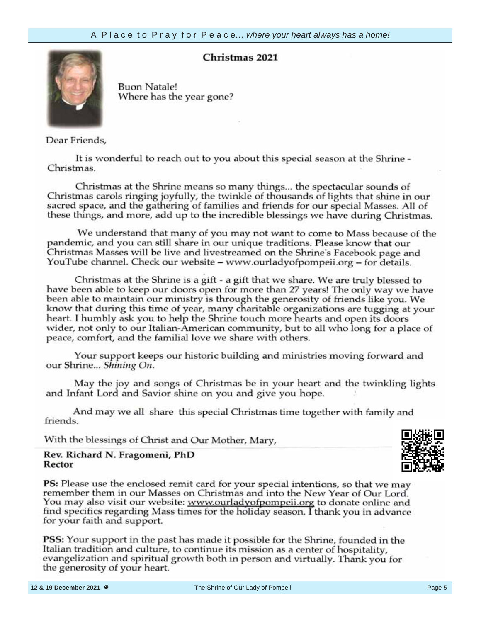### **Christmas 2021**



**Buon Natale!** Where has the year gone?

Dear Friends,

It is wonderful to reach out to you about this special season at the Shrine -Christmas.

your information,  $\alpha$  $Cn$ ristma sacred space, and the gathering of families and friends for our special Masses. All of these things, and more, add up to the incredible blessings we have during Christmas.

We understand that many of you may not want to come to Mass because of the pandemic and you can still share in our unique traditions. Please kn Christmas Masses will be live and livestreamed on the Shrine's YouTube channel. Check our website – www.ourladyofpompeii.org – for details.

Christmas at the Shrine is a gift - a gift that we share. We are truly blessed to have been able to keep our doors open for more than 27 years! The only way we have been able to maintain our ministry is through the generosity of friends like you. We know that during this time of year, many charitable organizations are tugging at your heart. I humbly ask you to help the Shrine touch more hearts and open its doors wider, not only to our Italian-American community, but to all who long for a place of peace, comfort, and the familial love we share with others.

Your support keeps our historic building and ministries moving forward and our Shrine... Shining On.

May the joy and songs of Christmas be in your heart and the twinkling lights and Infant Lord and Savior shine on you and give you hope.

And may we all share this special Christmas time together with family and friends.

With the blessings of Christ and Our Mother, Mary,

#### Rev. Richard N. Fragomeni, PhD Rector

PS: Please use the enclosed remit card for your special intentions, so that we may remember them in our Masses on Christmas and into the New Year of Our Lord. You may also visit our website: www.ourladyofpompeii.org to donate online and find specifics regarding Mass times for the holiday season. I thank you in advance for your faith and support.

**PSS:** Your support in the past has made it possible for the Shrine, founded in the Italian tradition and culture, to continue its mission as a center of hospitality, evangelization and spiritual growth both in person and virtually. Thank you for the generosity of your heart.

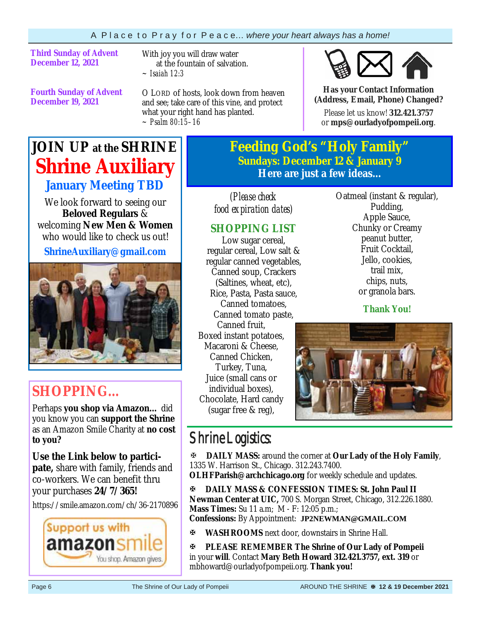**Third Sunday of Advent December 12, 2021** 

With joy you will draw water at the fountain of salvation. *~ Isaiah 12:3*

**Fourth Sunday of Advent December 19, 2021**

O LORD of hosts, look down from heaven and see; take care of this vine, and protect what your right hand has planted. *~ Psalm 80:15–16*



**Has your Contact Information (Address, Email, Phone) Changed?**

Please let us know! **312.421.3757**  or **mps@ourladyofpompeii.org**.

### **JOIN UP at the SHRINE Shrine Auxiliary January Meeting TBD**

We look forward to seeing our **Beloved Regulars** & welcoming **New Men & Women**  who would like to check us out!

**ShrineAuxiliary@gmail.com** 



### **SHOPPING…**

Perhaps **you shop via Amazon…** did you know you can **support the Shrine**  as an Amazon Smile Charity at **no cost to you?** 

**Use the Link below to participate,** share with family, friends and co-workers. We can benefit thru your purchases **24/7/365!**

https://smile.amazon.com/ch/36-2170896



**Feeding God's "Holy Family" Sundays: December 12 & January 9 Here are just a few ideas...** 

*(Please check food expiration dates)* 

### **SHOPPING LIST**

Low sugar cereal, regular cereal, Low salt & regular canned vegetables, Canned soup, Crackers (Saltines, wheat, etc), Rice, Pasta, Pasta sauce, Canned tomatoes, Canned tomato paste, Canned fruit, Boxed instant potatoes, Macaroni & Cheese, Canned Chicken, Turkey, Tuna, Juice (small cans or individual boxes), Chocolate, Hard candy (sugar free & reg),

Oatmeal (instant & regular), Pudding, Apple Sauce, Chunky or Creamy peanut butter, Fruit Cocktail, Jello, cookies, trail mix, chips, nuts, or granola bars.

**Thank You!**



### Shrine Logistics:

**DAILY MASS:** around the corner at **Our Lady of the Holy Family**, 1335 W. Harrison St., Chicago. 312.243.7400.

**OLHFParish@archchicago.org** for weekly schedule and updates.

**DAILY MASS & CONFESSION TIMES: St. John Paul II Newman Center at UIC,** 700 S. Morgan Street, Chicago, 312.226.1880. **Mass Times:** Su 11 a.m; M - F: 12:05 p.m.; **Confessions:** By Appointment: **JP2NEWMAN@GMAIL.COM**

**WASHROOMS** next door, downstairs in Shrine Hall.

**PLEASE REMEMBER The Shrine of Our Lady of Pompeii**  in your **will**. Contact **Mary Beth Howard 312.421.3757, ext. 319** or mbhoward@ourladyofpompeii.org. **Thank you!**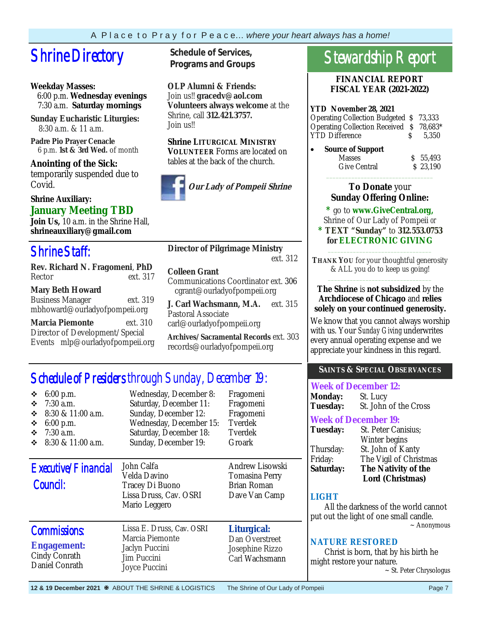## **Shrine Directory** Schedule of Services,

### **Weekday Masses:**

 6:00 p.m. **Wednesday evenings** 7:30 a.m. **Saturday mornings**

**Sunday Eucharistic Liturgies:** 8:30 a.m. & 11 a.m.

**Padre Pio Prayer Cenacle** 6 p.m. **1st & 3rd Wed.** of month

**Anointing of the Sick:**  temporarily suspended due to Covid.

### **Shrine Auxiliary: January Meeting TBD**

**Join Us,** 10 a.m. in the Shrine Hall, **shrineauxiliary@gmail.com** 

### Shrine Staff:

**Rev. Richard N. Fragomeni**, **PhD**  Rector ext. 317

### **Mary Beth Howard**

Business Manager ext. 319 mbhoward@ourladyofpompeii.org

**Marcia Piemonte** ext. 310 Director of Development/Special Events mlp@ourladyofpompeii.org **Programs and Groups**

**OLP Alumni & Friends:**  Join us!! **gracedv@aol.com Volunteers always welcome** at the Shrine, call **312.421.3757.**  Join us!!

### **Shrine LITURGICAL MINISTRY**

**VOLUNTEER** Forms are located on tables at the back of the church.



### **Director of Pilgrimage Ministry**

ext. 312

### **Colleen Grant**

Communications Coordinator ext. 306 cgrant@ourladyofpompeii.org

**J. Carl Wachsmann, M.A.** ext. 315 Pastoral Associate carl@ourladyofpompeii.org

**Archives/Sacramental Records** ext. 303 records@ourladyofpompeii.org

### Schedule of Presiders through Sunday, December 19:

| $6:00$ p.m.<br>❖<br>$7:30$ a.m.<br>❖<br>8:30 & 11:00 a.m.<br>❖<br>6:00 p.m.<br>❖<br>❖<br>$7:30$ a.m.<br>8:30 & 11:00 a.m.<br>❖ | Wednesday, December 8:<br>Saturday, December 11:<br>Sunday, December 12:<br>Wednesday, December 15:<br>Saturday, December 18:<br>Sunday, December 19: | Fragomeni<br>Fragomeni<br>Fragomeni<br>Tverdek<br>Tverdek<br>Groark |
|--------------------------------------------------------------------------------------------------------------------------------|-------------------------------------------------------------------------------------------------------------------------------------------------------|---------------------------------------------------------------------|
| Executive/Financial<br>Council:                                                                                                | John Calfa<br>Velda Davino<br>Tracey Di Buono<br>Lissa Druss, Cav. OSRI<br>Mario Leggero                                                              | Andrew Lisowski<br>Tomasina Perry<br>Brian Roman<br>Dave Van Camp   |
| <b>Commissions:</b><br><b>Engagement:</b><br>Cindy Conrath<br>Daniel Conrath                                                   | Lissa E. Druss, Cav. OSRI<br>Marcia Piemonte<br>Jaclyn Puccini<br><b>Jim Puccini</b><br>Joyce Puccini                                                 | Liturgical:<br>Dan Overstreet<br>Josephine Rizzo<br>Carl Wachsmann  |

### Stewardship Report

**FINANCIAL REPORT FISCAL YEAR (2021-2022)** 

### **YTD November 28, 2021**

| Operating Collection Budgeted \$73,333   |             |
|------------------------------------------|-------------|
| Operating Collection Received \$ 78,683* |             |
| <b>YTD Difference</b>                    | $S = 5.350$ |

| $\bullet$ | <b>Source of Support</b> |          |
|-----------|--------------------------|----------|
|           | <b>Masses</b>            | \$5,493  |
|           | Give Central             | \$23.190 |
|           |                          |          |

### **To Donate** your **Sunday Offering Online:**

**\*** go to **www.GiveCentral.org,**

Shrine of Our Lady of Pompeii *or* 

#### **\* TEXT "Sunday"** to **312.553.0753 for ELECTRONIC GIVING** \_\_\_\_\_\_\_\_\_\_\_\_\_\_\_\_\_\_\_\_\_\_\_\_\_\_\_\_\_\_\_\_\_

**THANK YOU** for your thoughtful generosity & ALL you do to keep us going! \_\_\_\_\_\_\_\_\_\_\_\_\_\_\_\_\_\_\_\_\_\_\_\_\_\_\_\_\_\_\_\_\_

### **The Shrine** is **not subsidized** by the **Archdiocese of Chicago** and **relies solely on your continued generosity.**

We know that you cannot always worship with us. Your *Sunday Giving* underwrites every annual operating expense and we appreciate your kindness in this regard.

### **SAINTS & SPECIAL OBSERVANCES**

| <b>Week of December 12:</b> |                       |  |
|-----------------------------|-----------------------|--|
| <b>Monday:</b>              | St. Lucy              |  |
| <b>Tuesday:</b>             | St. John of the Cross |  |

### **Week of December 19:**

| St. Peter Canisius;     |
|-------------------------|
| Winter begins           |
| St. John of Kanty       |
| The Vigil of Christmas  |
| The Nativity of the     |
| <b>Lord (Christmas)</b> |
|                         |

### **LIGHT**

 All the darkness of the world cannot put out the light of one small candle.  $\sim$  Anonymous

### **NATURE RESTORED**

 Christ is born, that by his birth he might restore your nature.

~ St. Peter Chrysologus